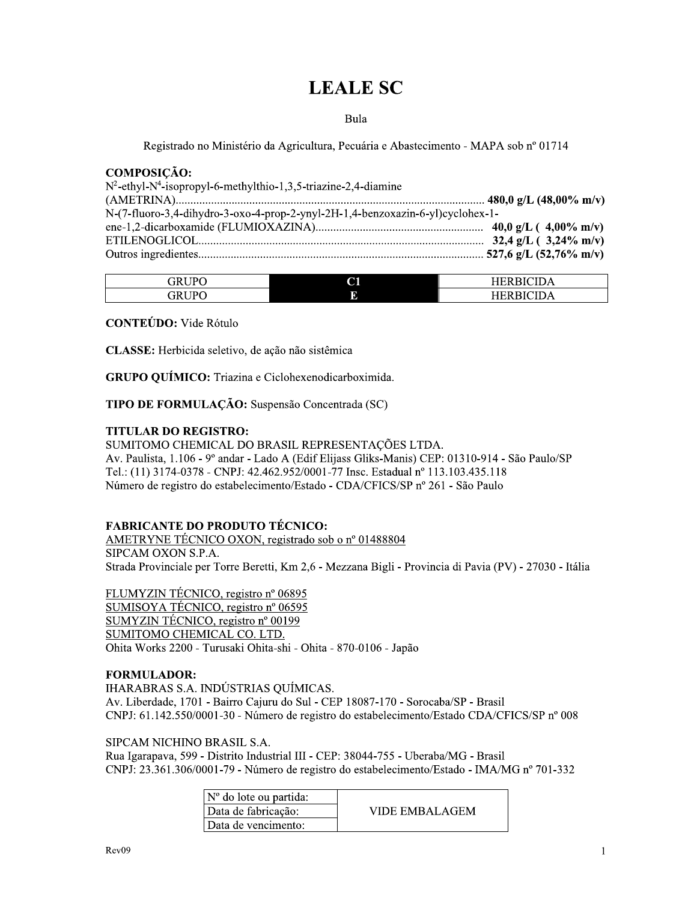# **LEALE SC**

Bula

Registrado no Ministério da Agricultura, Pecuária e Abastecimento - MAPA sob nº 01714

#### **COMPOSIÇÃO:**

| $N^2$ -ethyl-N <sup>4</sup> -isopropyl-6-methylthio-1,3,5-triazine-2,4-diamine |  |
|--------------------------------------------------------------------------------|--|
|                                                                                |  |
| N-(7-fluoro-3,4-dihydro-3-oxo-4-prop-2-ynyl-2H-1,4-benzoxazin-6-yl)cyclohex-1- |  |
|                                                                                |  |
|                                                                                |  |
|                                                                                |  |

| GRIJPO           | $\sim$<br>ື | . .<br>"י |
|------------------|-------------|-----------|
| $.3$ RIJP $\cap$ |             | ĸ<br>P    |

**CONTEÚDO:** Vide Rótulo

CLASSE: Herbicida seletivo, de ação não sistêmica

GRUPO QUÍMICO: Triazina e Ciclohexenodicarboximida.

TIPO DE FORMULAÇÃO: Suspensão Concentrada (SC)

#### **TITULAR DO REGISTRO:**

SUMITOMO CHEMICAL DO BRASIL REPRESENTAÇÕES LTDA. Av. Paulista, 1.106 - 9º andar - Lado A (Edif Elijass Gliks-Manis) CEP: 01310-914 - São Paulo/SP Tel.: (11) 3174-0378 - CNPJ: 42.462.952/0001-77 Insc. Estadual nº 113.103.435.118 Número de registro do estabelecimento/Estado - CDA/CFICS/SP nº 261 - São Paulo

# **FABRICANTE DO PRODUTO TÉCNICO:**

AMETRYNE TÉCNICO OXON, registrado sob o nº 01488804 SIPCAM OXON S.P.A. Strada Provinciale per Torre Beretti, Km 2,6 - Mezzana Bigli - Provincia di Pavia (PV) - 27030 - Itália

FLUMYZIN TÉCNICO, registro nº 06895 SUMISOYA TÉCNICO, registro nº 06595 SUMYZIN TÉCNICO, registro nº 00199 SUMITOMO CHEMICAL CO. LTD. Ohita Works 2200 - Turusaki Ohita-shi - Ohita - 870-0106 - Japão

#### **FORMULADOR:**

IHARABRAS S.A. INDÚSTRIAS QUÍMICAS. Av. Liberdade, 1701 - Bairro Cajuru do Sul - CEP 18087-170 - Sorocaba/SP - Brasil CNPJ: 61.142.550/0001-30 - Número de registro do estabelecimento/Estado CDA/CFICS/SP nº 008

#### SIPCAM NICHINO BRASIL S.A.

Rua Igarapava, 599 - Distrito Industrial III - CEP: 38044-755 - Uberaba/MG - Brasil CNPJ: 23.361.306/0001-79 - Número de registro do estabelecimento/Estado - IMA/MG nº 701-332

| $\vert$ N° do lote ou partida: |                |
|--------------------------------|----------------|
| Data de fabricação:            | VIDE EMBALAGEM |
| Data de vencimento:            |                |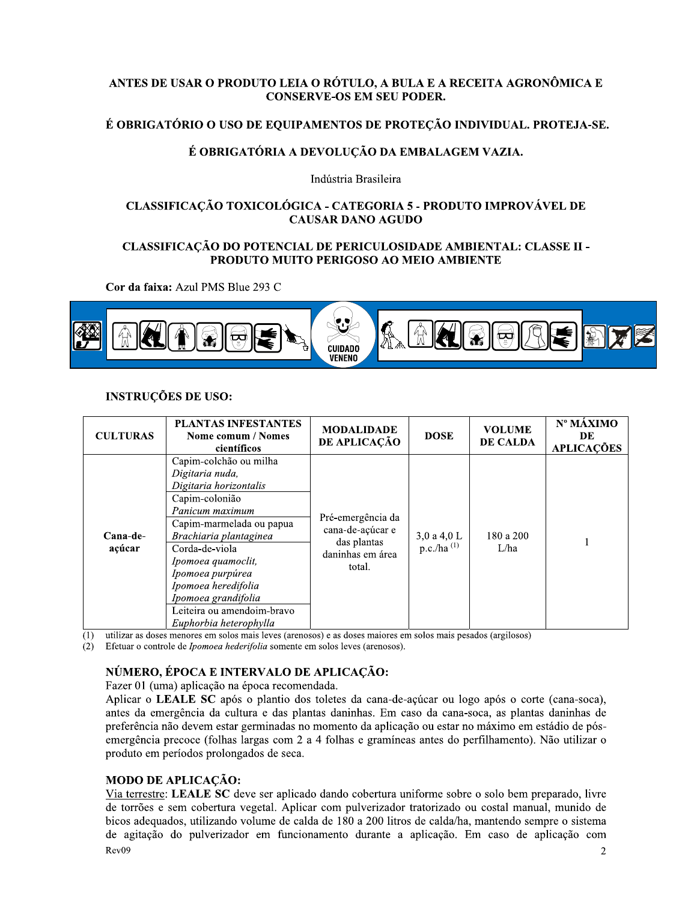# ANTES DE USAR O PRODUTO LEIA O RÓTULO, A BULA E A RECEITA AGRONÔMICA E **CONSERVE-OS EM SEU PODER.**

# É OBRIGATÓRIO O USO DE EQUIPAMENTOS DE PROTEÇÃO INDIVIDUAL. PROTEJA-SE.

# É OBRIGATÓRIA A DEVOLUCÃO DA EMBALAGEM VAZIA.

Indústria Brasileira

# CLASSIFICAÇÃO TOXICOLÓGICA - CATEGORIA 5 - PRODUTO IMPROVÁVEL DE **CAUSAR DANO AGUDO**

# CLASSIFICAÇÃO DO POTENCIAL DE PERICULOSIDADE AMBIENTAL: CLASSE II -PRODUTO MUITO PERIGOSO AO MEIO AMBIENTE

Cor da faixa: Azul PMS Blue 293 C



# **INSTRUÇÕES DE USO:**

| <b>CULTURAS</b>    | <b>PLANTAS INFESTANTES</b><br>Nome comum / Nomes<br>científicos                                                                                                                                                                                                                                                                  | <b>MODALIDADE</b><br>DE APLICAÇÃO                                                  | <b>DOSE</b>                    | <b>VOLUME</b><br>DE CALDA | Nº MÁXIMO<br>DE<br><b>APLICAÇÕES</b> |
|--------------------|----------------------------------------------------------------------------------------------------------------------------------------------------------------------------------------------------------------------------------------------------------------------------------------------------------------------------------|------------------------------------------------------------------------------------|--------------------------------|---------------------------|--------------------------------------|
| Cana-de-<br>açúcar | Capim-colchão ou milha<br>Digitaria nuda,<br>Digitaria horizontalis<br>Capim-colonião<br>Panicum maximum<br>Capim-marmelada ou papua<br>Brachiaria plantaginea<br>Corda-de-viola<br>Ipomoea quamoclit,<br>Ipomoea purpúrea<br>Ipomoea heredifolia<br>Ipomoea grandifolia<br>Leiteira ou amendoim-bravo<br>Euphorbia heterophylla | Pré-emergência da<br>cana-de-açúcar e<br>das plantas<br>daninhas em área<br>total. | 3,0 a 4,0 L<br>$p.c./ha^{(1)}$ | 180 a 200<br>L/ha         |                                      |

 $(1)$ utilizar as doses menores em solos mais leves (arenosos) e as doses maiores em solos mais pesados (argilosos)

(2) Efetuar o controle de *Ipomoea hederifolia* somente em solos leves (arenosos).

# NÚMERO, ÉPOCA E INTERVALO DE APLICAÇÃO:

Fazer 01 (uma) aplicação na época recomendada.

Aplicar o LEALE SC após o plantio dos toletes da cana-de-açúcar ou logo após o corte (cana-soca), antes da emergência da cultura e das plantas daninhas. Em caso da cana-soca, as plantas daninhas de preferência não devem estar germinadas no momento da aplicação ou estar no máximo em estádio de pósemergência precoce (folhas largas com 2 a 4 folhas e gramíneas antes do perfilhamento). Não utilizar o produto em períodos prolongados de seca.

# **MODO DE APLICAÇÃO:**

Via terrestre: LEALE SC deve ser aplicado dando cobertura uniforme sobre o solo bem preparado, livre de torrões e sem cobertura vegetal. Aplicar com pulverizador tratorizado ou costal manual, munido de bicos adequados, utilizando volume de calda de 180 a 200 litros de calda/ha, mantendo sempre o sistema de agitação do pulverizador em funcionamento durante a aplicação. Em caso de aplicação com  $Rev09$  $\overline{2}$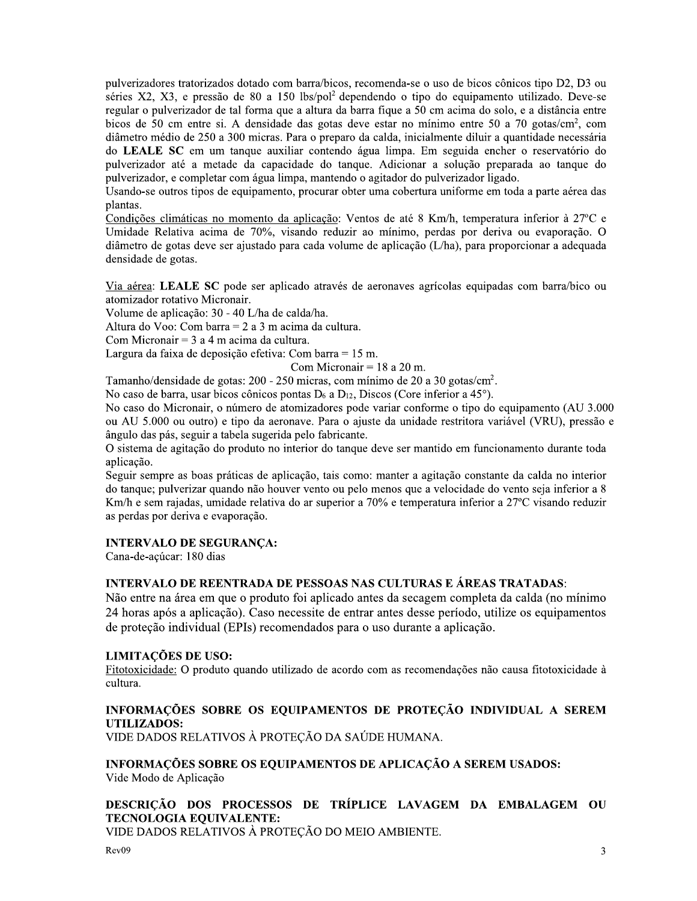pulverizadores tratorizados dotado com barra/bicos, recomenda-se o uso de bicos cônicos tipo D2, D3 ou séries X2, X3, e pressão de 80 a 150 lbs/pol<sup>2</sup> dependendo o tipo do equipamento utilizado. Deve-se regular o pulverizador de tal forma que a altura da barra fique a 50 cm acima do solo, e a distância entre bicos de 50 cm entre si. A densidade das gotas deve estar no mínimo entre 50 a 70 gotas/cm<sup>2</sup>, com diâmetro médio de 250 a 300 micras. Para o preparo da calda, inicialmente diluir a quantidade necessária do LEALE SC em um tanque auxiliar contendo água limpa. Em seguida encher o reservatório do pulverizador até a metade da capacidade do tanque. Adicionar a solução preparada ao tanque do pulverizador, e completar com água limpa, mantendo o agitador do pulverizador ligado.

Usando-se outros tipos de equipamento, procurar obter uma cobertura uniforme em toda a parte aérea das plantas.

Condições climáticas no momento da aplicação: Ventos de até 8 Km/h, temperatura inferior à 27°C e Umidade Relativa acima de 70%, visando reduzir ao mínimo, perdas por deriva ou evaporação. O diâmetro de gotas deve ser ajustado para cada volume de aplicação (L/ha), para proporcionar a adequada densidade de gotas.

Via aérea: LEALE SC pode ser aplicado através de aeronaves agrícolas equipadas com barra/bico ou atomizador rotativo Micronair.

Volume de aplicação: 30 - 40 L/ha de calda/ha.

Altura do Voo: Com barra =  $2$  a  $3$  m acima da cultura.

Com Micronair =  $3a4m$  acima da cultura.

Largura da faixa de deposição efetiva: Com barra =  $15$  m.

Com Micronair =  $18$  a 20 m.

Tamanho/densidade de gotas: 200 - 250 micras, com mínimo de 20 a 30 gotas/cm<sup>2</sup>.

No caso de barra, usar bicos cônicos pontas  $D_6$  a  $D_{12}$ , Discos (Core inferior a 45°).

No caso do Micronair, o número de atomizadores pode variar conforme o tipo do equipamento (AU 3.000 ou AU 5.000 ou outro) e tipo da aeronave. Para o ajuste da unidade restritora variável (VRU), pressão e ângulo das pás, seguir a tabela sugerida pelo fabricante.

O sistema de agitação do produto no interior do tanque deve ser mantido em funcionamento durante toda aplicação.

Seguir sempre as boas práticas de aplicação, tais como: manter a agitação constante da calda no interior do tanque; pulverizar quando não houver vento ou pelo menos que a velocidade do vento seja inferior a 8 Km/h e sem rajadas, umidade relativa do ar superior a 70% e temperatura inferior a 27°C visando reduzir as perdas por deriva e evaporação.

#### **INTERVALO DE SEGURANÇA:**

Cana-de-açúcar: 180 dias

#### **INTERVALO DE REENTRADA DE PESSOAS NAS CULTURAS E ÁREAS TRATADAS:**

Não entre na área em que o produto foi aplicado antes da secagem completa da calda (no mínimo 24 horas após a aplicação). Caso necessite de entrar antes desse período, utilize os equipamentos de proteção individual (EPIs) recomendados para o uso durante a aplicação.

#### **LIMITAÇÕES DE USO:**

Fitotoxicidade: O produto quando utilizado de acordo com as recomendações não causa fitotoxicidade à cultura.

#### INFORMAÇÕES SOBRE OS EQUIPAMENTOS DE PROTEÇÃO INDIVIDUAL A SEREM **UTILIZADOS:**

VIDE DADOS RELATIVOS À PROTEÇÃO DA SAÚDE HUMANA.

INFORMAÇÕES SOBRE OS EQUIPAMENTOS DE APLICAÇÃO A SEREM USADOS: Vide Modo de Aplicação

# DESCRICÃO DOS PROCESSOS DE TRÍPLICE LAVAGEM DA EMBALAGEM OU **TECNOLOGIA EQUIVALENTE:**

VIDE DADOS RELATIVOS À PROTEÇÃO DO MEIO AMBIENTE.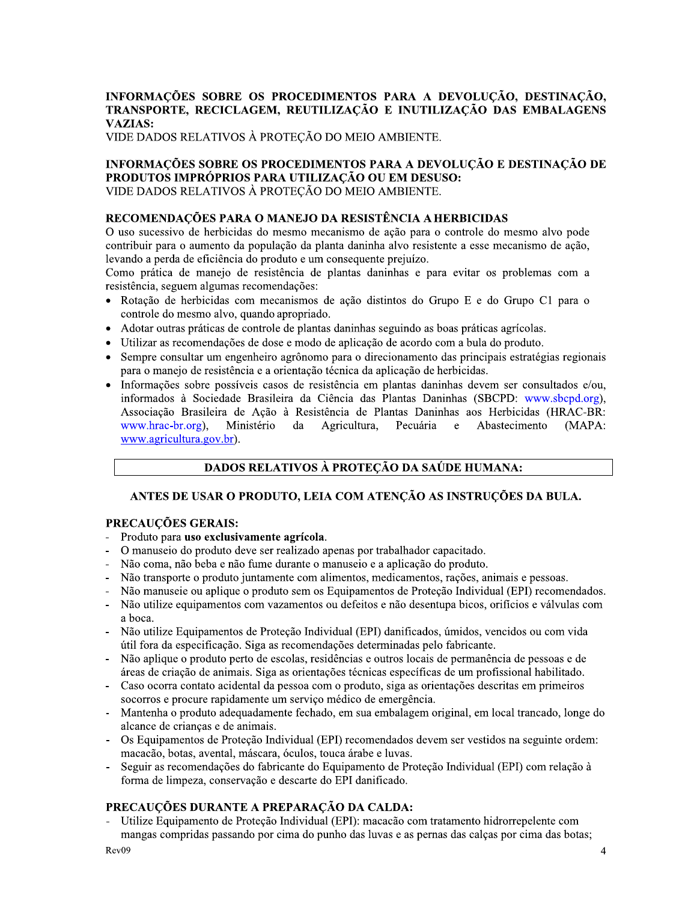# $\mathbb{R}^2$ INFORMAÇÕES SOBRE OS PROCEDIMENTOS PARA A DEVOLUÇÃO, DESTINAÇÃO, TRANSPORTE, RECICLAGEM, REUTILIZAÇÃO E INUTILIZAÇÃO DAS EMBALAGENS VAZIAS:<br>VIDE DADOS RELATIVOS À PROTEÇÃO DO MEIO AMBIENTE. INFORMAÇÕES SOBRE OS PROCEDIMENTOS PARA A DE<br>
TRANSPORTE, RECICLAGEM, REUTILIZAÇÃO E INUTILIZ<br>
VAZIAS:<br>
VIDE DADOS RELATIVOS À PROTEÇÃO DO MEIO AMBIENTE.<br>
INFORMAÇÕES SOBRE OS PROCEDIMENTOS PARA A DEVOI<br>
PRODUTOS IMPRÓPRIO INFORMAÇÕES SOBRE OS PROCEDIMENTOS PARA A DE<br>
TRANSPORTE, RECICLAGEM, REUTILIZAÇÃO E INUTILIZ<br>
VAZIAS:<br>
VIDE DADOS RELATIVOS À PROTEÇÃO DO MEIO AMBIENTE.<br>
INFORMAÇÕES SOBRE OS PROCEDIMENTOS PARA A DEVOI<br>
PRODUTOS IMPRÓPRIO

# INFORMAÇÕES SOBRE OS PROCEDIMENTOS PARA A DEVOLUÇÃO E DESTINAÇÃO DE PRODUTOS IMPRÓPRIOS PARA UTILIZAÇÃO OU EM DESUSO:<br>VIDE DADOS RELATIVOS À PROTEÇÃO DO MEIO AMBIENTE.

# RECOMENDAÇÕES PARA O MANEJO DA RESISTENCIA A HERBICIDAS

O uso sucessivo de herbicidas do mesmo mecanismo de ação para o controle do mesmo alvo pode contribuir para o aumento da população da planta daninha alvo resistente a esse mecanismo de ação, levando a perda de eficiencia do produto e um consequente prejuizo.

Como pratica de manejo de resistencia de plantas daninhas e para evitar os problemas com a resistencia, seguem algumas recomendações:

- Rotação de herbicidas com mecanismos de ação distintos do Grupo E e do Grupo C1 para o controle do mesmo alvo, quando apropriado.
- $\bullet$  Adotar outras praticas de controle de plantas daninhas seguindo as boas praticas agricolas.
- $\bullet$  Utilizar as recomendações de dose e modo de aplicação de acordo com a bula do produto.
- Sempre consultar um engenheiro agronomo para o direcionamento das principais estrategias regionais para o manejo de resistencia e a orientação tecnica da aplicação de herbícidas.
- Informações sobre possíveis casos de resistência em plantas daninhas devem ser consultados e/ou, informados a Sociedade Brasileira da Ciencia das Plantas Daninhas (SBCPD: www.sbcpd.org), Associação Brasileira de Ação a Resistência de Plantas Daninhas aos Herbicidas (HRAC-BR: www.hrac-br.org), Ministério da Agricultura, Pecuária e Abastecimen  $(MAPA:$ www.agricultura.gov.br).

# DADOS RELATIVOS À PROTEÇÃO DA SAÚDE HUMANA:

# ANTES DE USAR O PRODUTO, LEIA COM ATENÇÃO AS INSTRUÇÕES DA BULA.

#### Ĺ. PRECAUÇOES GERAIS:

 $\mathbf{r}$ 

- Produto para uso exclusivamente agrícola.
- O manuseio do produto deve ser realizado apenas por trabalhador capacitado.
- Nao coma, nao beba e nao fume durante o manuseio e a aplicação do produto.
- Não transporte o produto juntamente com alimentos, medicamentos, rações, animais e pessoas.
- Nao manusele ou aplíque o produto sem os Equipamentos de Proteção Individual (EPI) recomendados.
- Não utilize equipamentos com vazamentos ou defeitos e não desentupa bicos, orificios e valvulas com a boca.
- Não utilize Equipamentos de Proteção Individual (EPI) danificados, umidos, vencidos ou com vida util fora da especificação. Siga as recomendações determinadas pelo fabricante.  $\ddot{\phantom{0}}$
- Não aplíque o produto perto de escolas, residencias e outros locais de permanencia de pessoas e de areas de criação de animais. Siga as orientações tecnicas específicas de um profissional habilitado.
- Caso ocorra contato acidental da pessoa com o produto, siga as orientações descritas em primeiros socorros e procure rapidamente um serviço medico de emergencia.
- Mantenha o produto adequadamente fechado, em sua embalagem original, em local trancado, longe do alcance de crianças e de animais.
- Os Equipamentos de Proteção Individual (EPI) recomendados devem ser vestidos na seguinte ordem: macacao, botas, avental, mascara, oculos, touca arabe e luvas.
- Seguir as recomendações do fabricante do Equipamento de Proteção Individual (EPI) com relação a forma de limpeza, conservação e descarte do EPI daníficado.

#### L. PRECAUÇOES DURANTE A PREPARAÇÃO DA CALDA:

- Utilize Equipamento de Proteção Individual (EPI): macacao com tratamento hidrorrepelente com mangas compridas passando por cima do punho das luvas e as pernas das calças por cima das botas;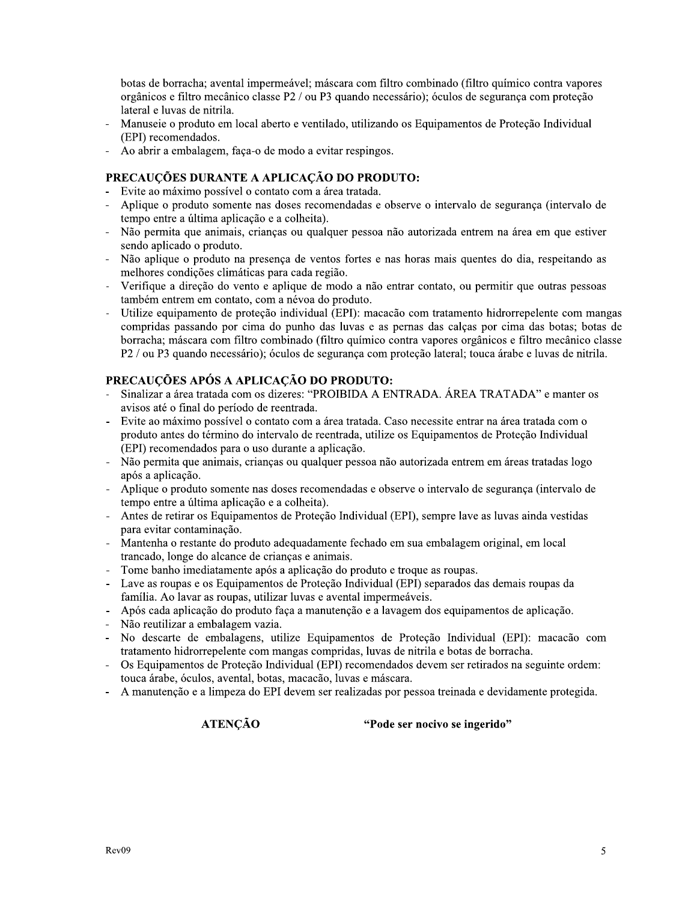botas de borracha; avental impermeável; máscara com filtro combinado (filtro químico contra vapores orgânicos e filtro mecânico classe P2 / ou P3 quando necessário); óculos de segurança com proteção lateral e luvas de nitrila.

- Manuseie o produto em local aberto e ventilado, utilizando os Equipamentos de Proteção Individual (EPI) recomendados.
- Ao abrir a embalagem, faça-o de modo a evitar respingos.

# PRECAUCÕES DURANTE A APLICAÇÃO DO PRODUTO:

- Evite ao máximo possível o contato com a área tratada.
- Aplique o produto somente nas doses recomendadas e observe o intervalo de segurança (intervalo de tempo entre a última aplicação e a colheita).
- Não permita que animais, crianças ou qualquer pessoa não autorizada entrem na área em que estiver sendo aplicado o produto.
- Não aplique o produto na presença de ventos fortes e nas horas mais quentes do dia, respeitando as melhores condições climáticas para cada região.
- Verifique a direção do vento e aplique de modo a não entrar contato, ou permitir que outras pessoas também entrem em contato, com a névoa do produto.
- Utilize equipamento de proteção individual (EPI): macação com tratamento hidrorrepelente com mangas compridas passando por cima do punho das luvas e as pernas das calças por cima das botas; botas de borracha: máscara com filtro combinado (filtro químico contra vapores orgânicos e filtro mecânico classe P2 / ou P3 quando necessário); óculos de segurança com proteção lateral; touca árabe e luvas de nitrila.

# PRECAUÇÕES APÓS A APLICAÇÃO DO PRODUTO:

- Sinalizar a área tratada com os dizeres: "PROIBIDA A ENTRADA. ÁREA TRATADA" e manter os avisos até o final do período de reentrada.
- Evite ao máximo possível o contato com a área tratada. Caso necessite entrar na área tratada com o produto antes do término do intervalo de reentrada, utilize os Equipamentos de Proteção Individual (EPI) recomendados para o uso durante a aplicação.
- Não permita que animais, crianças ou qualquer pessoa não autorizada entrem em áreas tratadas logo após a aplicação.
- Aplique o produto somente nas doses recomendadas e observe o intervalo de segurança (intervalo de tempo entre a última aplicação e a colheita).
- Antes de retirar os Equipamentos de Proteção Individual (EPI), sempre lave as luvas ainda vestidas para evitar contaminação.
- Mantenha o restante do produto adequadamente fechado em sua embalagem original, em local  $\overline{a}$ trancado, longe do alcance de crianças e animais.
- Tome banho imediatamente após a aplicação do produto e troque as roupas.
- Lave as roupas e os Equipamentos de Proteção Individual (EPI) separados das demais roupas da família. Ao lavar as roupas, utilizar luvas e avental impermeáveis.
- Após cada aplicação do produto faça a manutenção e a lavagem dos equipamentos de aplicação.
- Não reutilizar a embalagem vazia.
- No descarte de embalagens, utilize Equipamentos de Proteção Individual (EPI): macação com tratamento hidrorrepelente com mangas compridas, luvas de nitrila e botas de borracha.
- Os Equipamentos de Proteção Individual (EPI) recomendados devem ser retirados na seguinte ordem: touca árabe, óculos, avental, botas, macação, luvas e máscara.
- A manutenção e a limpeza do EPI devem ser realizadas por pessoa treinada e devidamente protegida.

**ATENÇÃO** 

"Pode ser nocivo se ingerido"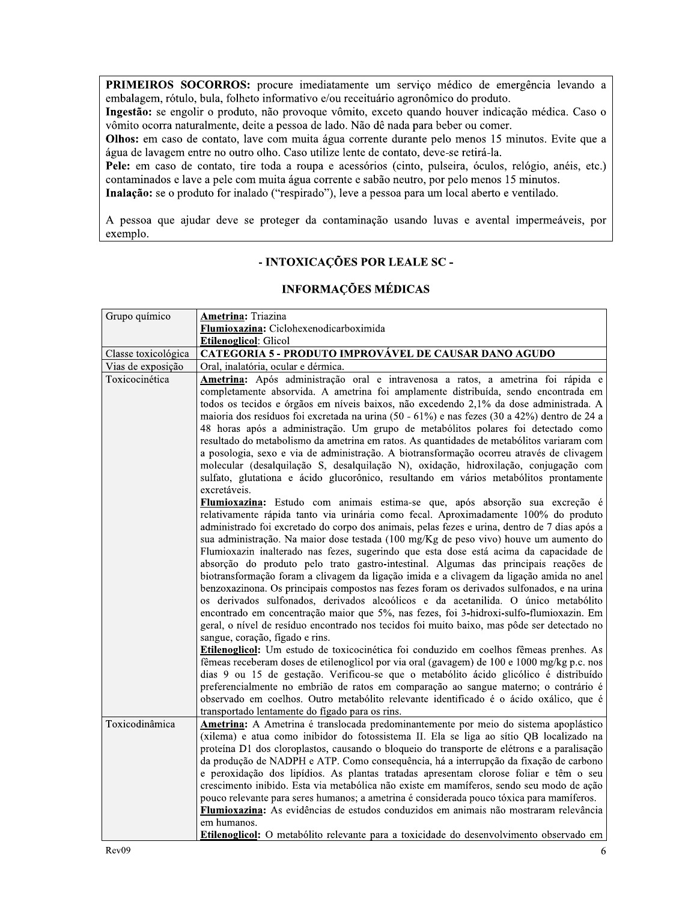PRIMEIROS SOCORROS: procure imediatamente um serviço médico de emergência levando a embalagem, rótulo, bula, folheto informativo e/ou receituário agronômico do produto.

Ingestão: se engolir o produto, não provoque vômito, exceto quando houver indicação médica. Caso o vômito ocorra naturalmente, deite a pessoa de lado. Não dê nada para beber ou comer.

Olhos: em caso de contato, lave com muita água corrente durante pelo menos 15 minutos. Evite que a água de lavagem entre no outro olho. Caso utilize lente de contato, deve-se retirá-la.

Pele: em caso de contato, tire toda a roupa e acessórios (cinto, pulseira, óculos, relógio, anéis, etc.) contaminados e lave a pele com muita água corrente e sabão neutro, por pelo menos 15 minutos.

Inalação: se o produto for inalado ("respirado"), leve a pessoa para um local aberto e ventilado.

A pessoa que ajudar deve se proteger da contaminação usando luvas e avental impermeáveis, por exemplo.

# - INTOXICAÇÕES POR LEALE SC -

#### **INFORMAÇÕES MÉDICAS**

| Grupo químico       | <b>Ametrina:</b> Triazina                                                                                                                                                                                                                                                                                                                                                                                                                                                                                                                                                                                                                                                                                                                                                                                                                                                                                                                                                                                                                                                                                                                                                                                                                                                                                                                                                                                                                                                                                                                                                                                                                                                                                                                                                                                                                                                                                                                                                                                                                                                                                                                                                                                                                                                                                                                                                          |
|---------------------|------------------------------------------------------------------------------------------------------------------------------------------------------------------------------------------------------------------------------------------------------------------------------------------------------------------------------------------------------------------------------------------------------------------------------------------------------------------------------------------------------------------------------------------------------------------------------------------------------------------------------------------------------------------------------------------------------------------------------------------------------------------------------------------------------------------------------------------------------------------------------------------------------------------------------------------------------------------------------------------------------------------------------------------------------------------------------------------------------------------------------------------------------------------------------------------------------------------------------------------------------------------------------------------------------------------------------------------------------------------------------------------------------------------------------------------------------------------------------------------------------------------------------------------------------------------------------------------------------------------------------------------------------------------------------------------------------------------------------------------------------------------------------------------------------------------------------------------------------------------------------------------------------------------------------------------------------------------------------------------------------------------------------------------------------------------------------------------------------------------------------------------------------------------------------------------------------------------------------------------------------------------------------------------------------------------------------------------------------------------------------------|
|                     | Flumioxazina: Ciclohexenodicarboximida                                                                                                                                                                                                                                                                                                                                                                                                                                                                                                                                                                                                                                                                                                                                                                                                                                                                                                                                                                                                                                                                                                                                                                                                                                                                                                                                                                                                                                                                                                                                                                                                                                                                                                                                                                                                                                                                                                                                                                                                                                                                                                                                                                                                                                                                                                                                             |
|                     | <b>Etilenoglicol: Glicol</b>                                                                                                                                                                                                                                                                                                                                                                                                                                                                                                                                                                                                                                                                                                                                                                                                                                                                                                                                                                                                                                                                                                                                                                                                                                                                                                                                                                                                                                                                                                                                                                                                                                                                                                                                                                                                                                                                                                                                                                                                                                                                                                                                                                                                                                                                                                                                                       |
| Classe toxicológica | CATEGORIA 5 - PRODUTO IMPROVÁVEL DE CAUSAR DANO AGUDO                                                                                                                                                                                                                                                                                                                                                                                                                                                                                                                                                                                                                                                                                                                                                                                                                                                                                                                                                                                                                                                                                                                                                                                                                                                                                                                                                                                                                                                                                                                                                                                                                                                                                                                                                                                                                                                                                                                                                                                                                                                                                                                                                                                                                                                                                                                              |
| Vias de exposição   | Oral, inalatória, ocular e dérmica.                                                                                                                                                                                                                                                                                                                                                                                                                                                                                                                                                                                                                                                                                                                                                                                                                                                                                                                                                                                                                                                                                                                                                                                                                                                                                                                                                                                                                                                                                                                                                                                                                                                                                                                                                                                                                                                                                                                                                                                                                                                                                                                                                                                                                                                                                                                                                |
| Toxicocinética      | Ametrina: Após administração oral e intravenosa a ratos, a ametrina foi rápida e<br>completamente absorvida. A ametrina foi amplamente distribuída, sendo encontrada em<br>todos os tecidos e órgãos em níveis baixos, não excedendo 2,1% da dose administrada. A<br>maioria dos resíduos foi excretada na urina (50 - 61%) e nas fezes (30 a 42%) dentro de 24 a<br>48 horas após a administração. Um grupo de metabólitos polares foi detectado como<br>resultado do metabolismo da ametrina em ratos. As quantidades de metabólitos variaram com<br>a posologia, sexo e via de administração. A biotransformação ocorreu através de clivagem<br>molecular (desalquilação S, desalquilação N), oxidação, hidroxilação, conjugação com<br>sulfato, glutationa e ácido glucorônico, resultando em vários metabólitos prontamente<br>excretáveis.<br>Flumioxazina: Estudo com animais estima-se que, após absorção sua excreção é<br>relativamente rápida tanto via urinária como fecal. Aproximadamente 100% do produto<br>administrado foi excretado do corpo dos animais, pelas fezes e urina, dentro de 7 dias após a<br>sua administração. Na maior dose testada (100 mg/Kg de peso vivo) houve um aumento do<br>Flumioxazin inalterado nas fezes, sugerindo que esta dose está acima da capacidade de<br>absorção do produto pelo trato gastro-intestinal. Algumas das principais reações de<br>biotransformação foram a clivagem da ligação imida e a clivagem da ligação amida no anel<br>benzoxazinona. Os principais compostos nas fezes foram os derivados sulfonados, e na urina<br>os derivados sulfonados, derivados alcoólicos e da acetanilida. O único metabólito<br>encontrado em concentração maior que 5%, nas fezes, foi 3-hidroxi-sulfo-flumioxazin. Em<br>geral, o nível de resíduo encontrado nos tecidos foi muito baixo, mas pôde ser detectado no<br>sangue, coração, fígado e rins.<br>Etilenoglicol: Um estudo de toxicocinética foi conduzido em coelhos fêmeas prenhes. As<br>fêmeas receberam doses de etilenoglicol por via oral (gavagem) de 100 e 1000 mg/kg p.c. nos<br>dias 9 ou 15 de gestação. Verificou-se que o metabólito ácido glicólico é distribuído<br>preferencialmente no embrião de ratos em comparação ao sangue materno; o contrário é<br>observado em coelhos. Outro metabólito relevante identificado é o ácido oxálico, que é |
|                     | transportado lentamente do fígado para os rins.                                                                                                                                                                                                                                                                                                                                                                                                                                                                                                                                                                                                                                                                                                                                                                                                                                                                                                                                                                                                                                                                                                                                                                                                                                                                                                                                                                                                                                                                                                                                                                                                                                                                                                                                                                                                                                                                                                                                                                                                                                                                                                                                                                                                                                                                                                                                    |
| Toxicodinâmica      | Ametrina: A Ametrina é translocada predominantemente por meio do sistema apoplástico<br>(xilema) e atua como inibidor do fotossistema II. Ela se liga ao sítio QB localizado na<br>proteína D1 dos cloroplastos, causando o bloqueio do transporte de elétrons e a paralisação<br>da produção de NADPH e ATP. Como consequência, há a interrupção da fixação de carbono<br>e peroxidação dos lipídios. As plantas tratadas apresentam clorose foliar e têm o seu<br>crescimento inibido. Esta via metabólica não existe em mamíferos, sendo seu modo de ação<br>pouco relevante para seres humanos; a ametrina é considerada pouco tóxica para mamíferos.<br>Flumioxazina: As evidências de estudos conduzidos em animais não mostraram relevância<br>em humanos.                                                                                                                                                                                                                                                                                                                                                                                                                                                                                                                                                                                                                                                                                                                                                                                                                                                                                                                                                                                                                                                                                                                                                                                                                                                                                                                                                                                                                                                                                                                                                                                                                  |
|                     | Etilenoglicol: O metabólito relevante para a toxicidade do desenvolvimento observado em                                                                                                                                                                                                                                                                                                                                                                                                                                                                                                                                                                                                                                                                                                                                                                                                                                                                                                                                                                                                                                                                                                                                                                                                                                                                                                                                                                                                                                                                                                                                                                                                                                                                                                                                                                                                                                                                                                                                                                                                                                                                                                                                                                                                                                                                                            |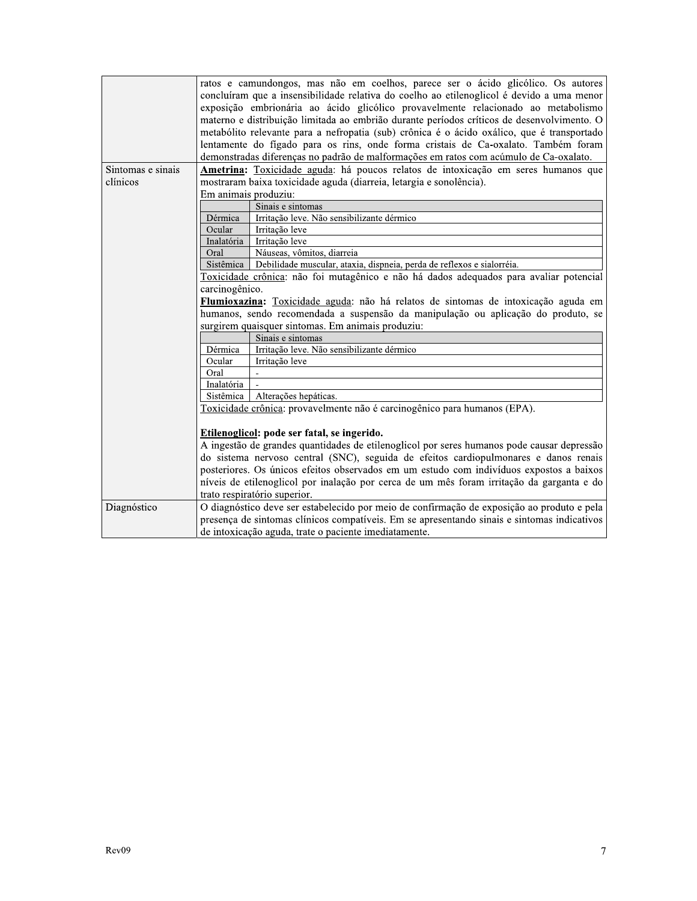|                   | ratos e camundongos, mas não em coelhos, parece ser o ácido glicólico. Os autores<br>concluíram que a insensibilidade relativa do coelho ao etilenoglicol é devido a uma menor |  |  |
|-------------------|--------------------------------------------------------------------------------------------------------------------------------------------------------------------------------|--|--|
|                   | exposição embrionária ao ácido glicólico provavelmente relacionado ao metabolismo                                                                                              |  |  |
|                   | materno e distribuição limitada ao embrião durante períodos críticos de desenvolvimento. O                                                                                     |  |  |
|                   | metabólito relevante para a nefropatia (sub) crônica é o ácido oxálico, que é transportado                                                                                     |  |  |
|                   | lentamente do fígado para os rins, onde forma cristais de Ca-oxalato. Também foram                                                                                             |  |  |
|                   | demonstradas diferenças no padrão de malformações em ratos com acúmulo de Ca-oxalato.                                                                                          |  |  |
| Sintomas e sinais | Ametrina: Toxicidade aguda: há poucos relatos de intoxicação em seres humanos que                                                                                              |  |  |
| clínicos          | mostraram baixa toxicidade aguda (diarreia, letargia e sonolência).                                                                                                            |  |  |
|                   | Em animais produziu:                                                                                                                                                           |  |  |
|                   | Sinais e sintomas                                                                                                                                                              |  |  |
|                   | Irritação leve. Não sensibilizante dérmico<br>Dérmica                                                                                                                          |  |  |
|                   | Ocular<br>Irritação leve                                                                                                                                                       |  |  |
|                   | Inalatória<br>Irritação leve                                                                                                                                                   |  |  |
|                   | Náuseas, vômitos, diarreia<br>Oral                                                                                                                                             |  |  |
|                   | Sistêmica<br>Debilidade muscular, ataxia, dispneia, perda de reflexos e sialorréia.                                                                                            |  |  |
|                   | Toxicidade crônica: não foi mutagênico e não há dados adequados para avaliar potencial                                                                                         |  |  |
|                   | carcinogênico.                                                                                                                                                                 |  |  |
|                   | Flumioxazina: Toxicidade aguda: não há relatos de sintomas de intoxicação aguda em                                                                                             |  |  |
|                   | humanos, sendo recomendada a suspensão da manipulação ou aplicação do produto, se                                                                                              |  |  |
|                   | surgirem quaisquer sintomas. Em animais produziu:                                                                                                                              |  |  |
|                   | Sinais e sintomas                                                                                                                                                              |  |  |
|                   | Irritação leve. Não sensibilizante dérmico<br>Dérmica                                                                                                                          |  |  |
|                   | Ocular<br>Irritação leve                                                                                                                                                       |  |  |
|                   | Oral                                                                                                                                                                           |  |  |
|                   | Inalatória                                                                                                                                                                     |  |  |
|                   | Alterações hepáticas.<br>Sistêmica                                                                                                                                             |  |  |
|                   | Toxicidade crônica: provavelmente não é carcinogênico para humanos (EPA).                                                                                                      |  |  |
|                   | Etilenoglicol: pode ser fatal, se ingerido.                                                                                                                                    |  |  |
|                   | A ingestão de grandes quantidades de etilenoglicol por seres humanos pode causar depressão                                                                                     |  |  |
|                   | do sistema nervoso central (SNC), seguida de efeitos cardiopulmonares e danos renais                                                                                           |  |  |
|                   | posteriores. Os únicos efeitos observados em um estudo com indivíduos expostos a baixos                                                                                        |  |  |
|                   | níveis de etilenoglicol por inalação por cerca de um mês foram irritação da garganta e do                                                                                      |  |  |
|                   |                                                                                                                                                                                |  |  |
|                   | trato respiratório superior.                                                                                                                                                   |  |  |
| Diagnóstico       | O diagnóstico deve ser estabelecido por meio de confirmação de exposição ao produto e pela                                                                                     |  |  |
|                   | presença de sintomas clínicos compatíveis. Em se apresentando sinais e sintomas indicativos                                                                                    |  |  |
|                   | de intoxicação aguda, trate o paciente imediatamente.                                                                                                                          |  |  |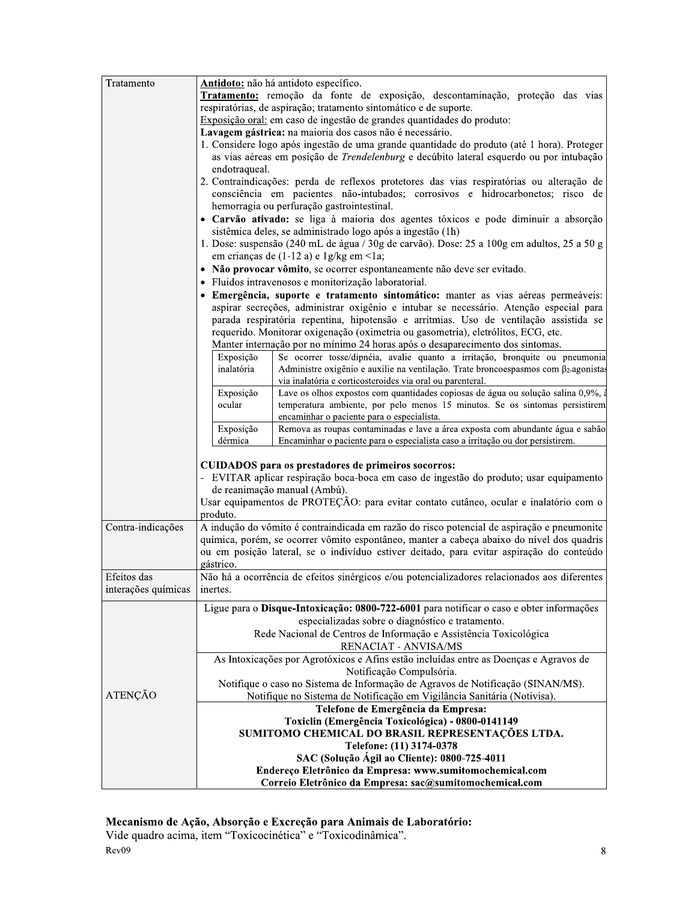| Tratamento          | Antidoto: não há antidoto específico.                                                                    |  |  |
|---------------------|----------------------------------------------------------------------------------------------------------|--|--|
|                     | Tratamento: remoção da fonte de exposição, descontaminação, proteção das vias                            |  |  |
|                     | respiratórias, de aspiração; tratamento sintomático e de suporte.                                        |  |  |
|                     | Exposição oral: em caso de ingestão de grandes quantidades do produto:                                   |  |  |
|                     | Lavagem gástrica: na maioria dos casos não é necessário.                                                 |  |  |
|                     | 1. Considere logo após ingestão de uma grande quantidade do produto (até 1 hora). Proteger               |  |  |
|                     | as vias aéreas em posição de Trendelenburg e decúbito lateral esquerdo ou por intubação                  |  |  |
|                     | endotraqueal.                                                                                            |  |  |
|                     | 2. Contraindicações: perda de reflexos protetores das vias respiratórias ou alteração de                 |  |  |
|                     | consciência em pacientes não-intubados; corrosivos e hidrocarbonetos; risco de                           |  |  |
|                     | hemorragia ou perfuração gastrointestinal.                                                               |  |  |
|                     | · Carvão ativado: se liga à maioria dos agentes tóxicos e pode diminuir a absorção                       |  |  |
|                     | sistêmica deles, se administrado logo após a ingestão (1h)                                               |  |  |
|                     | 1. Dose: suspensão (240 mL de água / 30g de carvão). Dose: 25 a 100g em adultos, 25 a 50 g               |  |  |
|                     | em crianças de (1-12 a) e 1g/kg em <1a;                                                                  |  |  |
|                     | • Não provocar vômito, se ocorrer espontaneamente não deve ser evitado.                                  |  |  |
|                     | · Fluidos intravenosos e monitorização laboratorial.                                                     |  |  |
|                     | · Emergência, suporte e tratamento sintomático: manter as vias aéreas permeáveis:                        |  |  |
|                     | aspirar secreções, administrar oxigênio e intubar se necessário. Atenção especial para                   |  |  |
|                     | parada respiratória repentina, hipotensão e arritmias. Uso de ventilação assistida se                    |  |  |
|                     | requerido. Monitorar oxigenação (oximetria ou gasometria), eletrólitos, ECG, etc.                        |  |  |
|                     | Manter internação por no mínimo 24 horas após o desaparecimento dos sintomas.                            |  |  |
|                     | Se ocorrer tosse/dipnéia, avalie quanto a irritação, bronquite ou pneumonia<br>Exposição                 |  |  |
|                     | inalatória<br>Administre oxigênio e auxilie na ventilação. Trate broncoespasmos com $\beta_2$ -agonistas |  |  |
|                     | via inalatória e corticosteroides via oral ou parenteral.                                                |  |  |
|                     | Exposição<br>Lave os olhos expostos com quantidades copiosas de água ou solução salina 0,9%, a           |  |  |
|                     | temperatura ambiente, por pelo menos 15 minutos. Se os sintomas persistirem<br>ocular                    |  |  |
|                     | encaminhar o paciente para o especialista.                                                               |  |  |
|                     | Remova as roupas contaminadas e lave a área exposta com abundante água e sabão<br>Exposição              |  |  |
|                     | dérmica<br>Encaminhar o paciente para o especialista caso a irritação ou dor persistirem.                |  |  |
|                     |                                                                                                          |  |  |
|                     | CUIDADOS para os prestadores de primeiros socorros:                                                      |  |  |
|                     | - EVITAR aplicar respiração boca-boca em caso de ingestão do produto; usar equipamento                   |  |  |
|                     | de reanimação manual (Ambú).                                                                             |  |  |
|                     | Usar equipamentos de PROTEÇÃO: para evitar contato cutâneo, ocular e inalatório com o                    |  |  |
|                     | produto.                                                                                                 |  |  |
| Contra-indicações   | A indução do vômito é contraindicada em razão do risco potencial de aspiração e pneumonite               |  |  |
|                     | química, porém, se ocorrer vômito espontâneo, manter a cabeça abaixo do nível dos quadris                |  |  |
|                     | ou em posição lateral, se o indivíduo estiver deitado, para evitar aspiração do conteúdo                 |  |  |
|                     | gástrico.                                                                                                |  |  |
| Efeitos das         | Não há a ocorrência de efeitos sinérgicos e/ou potencializadores relacionados aos diferentes             |  |  |
| interações químicas |                                                                                                          |  |  |
|                     | inertes.                                                                                                 |  |  |
|                     | Ligue para o Disque-Intoxicação: 0800-722-6001 para notificar o caso e obter informações                 |  |  |
|                     | especializadas sobre o diagnóstico e tratamento.                                                         |  |  |
|                     | Rede Nacional de Centros de Informação e Assistência Toxicológica                                        |  |  |
|                     | <b>RENACIAT - ANVISA/MS</b>                                                                              |  |  |
|                     | As Intoxicações por Agrotóxicos e Afins estão incluídas entre as Doenças e Agravos de                    |  |  |
|                     | Notificação Compulsória.                                                                                 |  |  |
|                     | Notifique o caso no Sistema de Informação de Agravos de Notificação (SINAN/MS).                          |  |  |
| ATENÇÃO             | Notifique no Sistema de Notificação em Vigilância Sanitária (Notivisa).                                  |  |  |
|                     | Telefone de Emergência da Empresa:                                                                       |  |  |
|                     | Toxiclin (Emergência Toxicológica) - 0800-0141149                                                        |  |  |
|                     | SUMITOMO CHEMICAL DO BRASIL REPRESENTAÇÕES LTDA.                                                         |  |  |
|                     | Telefone: (11) 3174-0378                                                                                 |  |  |
|                     | SAC (Solução Ágil ao Cliente): 0800-725-4011                                                             |  |  |
|                     | Endereço Eletrônico da Empresa: www.sumitomochemical.com                                                 |  |  |
|                     | Correio Eletrônico da Empresa: sac@sumitomochemical.com                                                  |  |  |

Mecanismo de Ação, Absorção e Excreção para Animais de Laboratório:<br>Vide quadro acima, item "Toxicocinética" e "Toxicodinâmica".  $Rev09$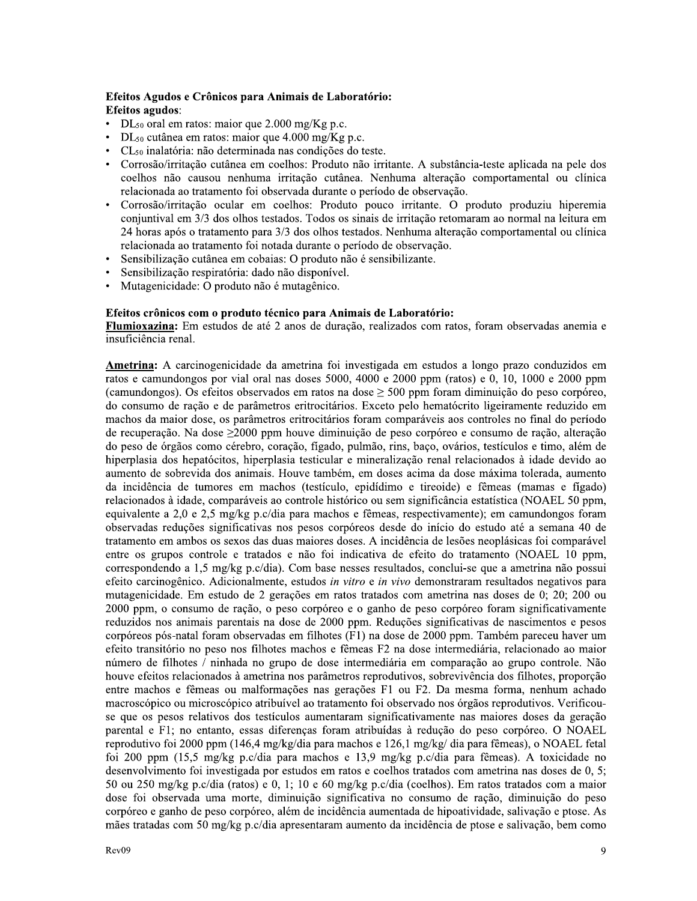#### Efeitos Agudos e Crônicos para Animais de Laboratório: **Efeitos agudos:**

- $DL_{50}$  oral em ratos: maior que 2.000 mg/Kg p.c.
- DL<sub>50</sub> cutânea em ratos: maior que 4.000 mg/Kg p.c.
- CL<sub>50</sub> inalatória: não determinada nas condições do teste.
- Corrosão/irritação cutânea em coelhos: Produto não irritante. A substância-teste aplicada na pele dos coelhos não causou nenhuma irritação cutânea. Nenhuma alteração comportamental ou clínica relacionada ao tratamento foi observada durante o período de observação.
- Corrosão/irritação ocular em coelhos: Produto pouco irritante. O produto produziu hiperemia conjuntival em 3/3 dos olhos testados. Todos os sinais de irritação retomaram ao normal na leitura em 24 horas após o tratamento para 3/3 dos olhos testados. Nenhuma alteração comportamental ou clínica relacionada ao tratamento foi notada durante o período de observação.
- Sensibilização cutânea em cobaias: O produto não é sensibilizante.
- Sensibilização respiratória: dado não disponível.
- Mutagenicidade: O produto não é mutagênico.

#### Efeitos crônicos com o produto técnico para Animais de Laboratório:

Flumioxazina: Em estudos de até 2 anos de duração, realizados com ratos, foram observadas anemia e insuficiência renal.

Ametrina: A carcinogenicidade da ametrina foi investigada em estudos a longo prazo conduzidos em ratos e camundongos por vial oral nas doses 5000, 4000 e 2000 ppm (ratos) e 0, 10, 1000 e 2000 ppm (camundongos). Os efeitos observados em ratos na dose  $\geq$  500 ppm foram diminuição do peso corpóreo, do consumo de ração e de parâmetros eritrocitários. Exceto pelo hematócrito ligeiramente reduzido em machos da maior dose, os parâmetros eritrocitários foram comparáveis aos controles no final do período de recuperação. Na dose ≥2000 ppm houve diminuição de peso corpóreo e consumo de ração, alteração do peso de órgãos como cérebro, coração, fígado, pulmão, rins, baço, ovários, testículos e timo, além de hiperplasia dos hepatócitos, hiperplasia testicular e mineralização renal relacionados à idade devido ao aumento de sobrevida dos animais. Houve também, em doses acima da dose máxima tolerada, aumento da incidência de tumores em machos (testículo, epidídimo e tireoide) e fêmeas (mamas e fígado) relacionados à idade, comparáveis ao controle histórico ou sem significância estatística (NOAEL 50 ppm, equivalente a 2,0 e 2,5 mg/kg p.c/dia para machos e fêmeas, respectivamente); em camundongos foram observadas reduções significativas nos pesos corpóreos desde do início do estudo até a semana 40 de tratamento em ambos os sexos das duas maiores doses. A incidência de lesões neoplásicas foi comparável entre os grupos controle e tratados e não foi indicativa de efeito do tratamento (NOAEL 10 ppm, correspondendo a 1,5 mg/kg p.c/dia). Com base nesses resultados, conclui-se que a ametrina não possui efeito carcinogênico. Adicionalmente, estudos in vitro e in vivo demonstraram resultados negativos para mutagenicidade. Em estudo de 2 gerações em ratos tratados com ametrina nas doses de 0; 20; 200 ou 2000 ppm, o consumo de ração, o peso corpóreo e o ganho de peso corpóreo foram significativamente reduzidos nos animais parentais na dose de 2000 ppm. Reduções significativas de nascimentos e pesos corpóreos pós-natal foram observadas em filhotes (F1) na dose de 2000 ppm. Também pareceu haver um efeito transitório no peso nos filhotes machos e fêmeas F2 na dose intermediária, relacionado ao maior número de filhotes / ninhada no grupo de dose intermediária em comparação ao grupo controle. Não houve efeitos relacionados à ametrina nos parâmetros reprodutivos, sobrevivência dos filhotes, proporção entre machos e fêmeas ou malformações nas gerações F1 ou F2. Da mesma forma, nenhum achado macroscópico ou microscópico atribuível ao tratamento foi observado nos órgãos reprodutivos. Verificouse que os pesos relativos dos testículos aumentaram significativamente nas maiores doses da geração parental e F1; no entanto, essas diferenças foram atribuídas à redução do peso corpóreo. O NOAEL reprodutivo foi 2000 ppm (146,4 mg/kg/dia para machos e 126,1 mg/kg/ dia para fêmeas), o NOAEL fetal foi 200 ppm (15,5 mg/kg p.c/dia para machos e 13,9 mg/kg p.c/dia para fêmeas). A toxicidade no desenvolvimento foi investigada por estudos em ratos e coelhos tratados com ametrina nas doses de 0, 5; 50 ou 250 mg/kg p.c/dia (ratos) e 0, 1; 10 e 60 mg/kg p.c/dia (coelhos). Em ratos tratados com a maior dose foi observada uma morte, diminuição significativa no consumo de ração, diminuição do peso corpóreo e ganho de peso corpóreo, além de incidência aumentada de hipoatividade, salivação e ptose. As mães tratadas com 50 mg/kg p.c/dia apresentaram aumento da incidência de ptose e salivação, bem como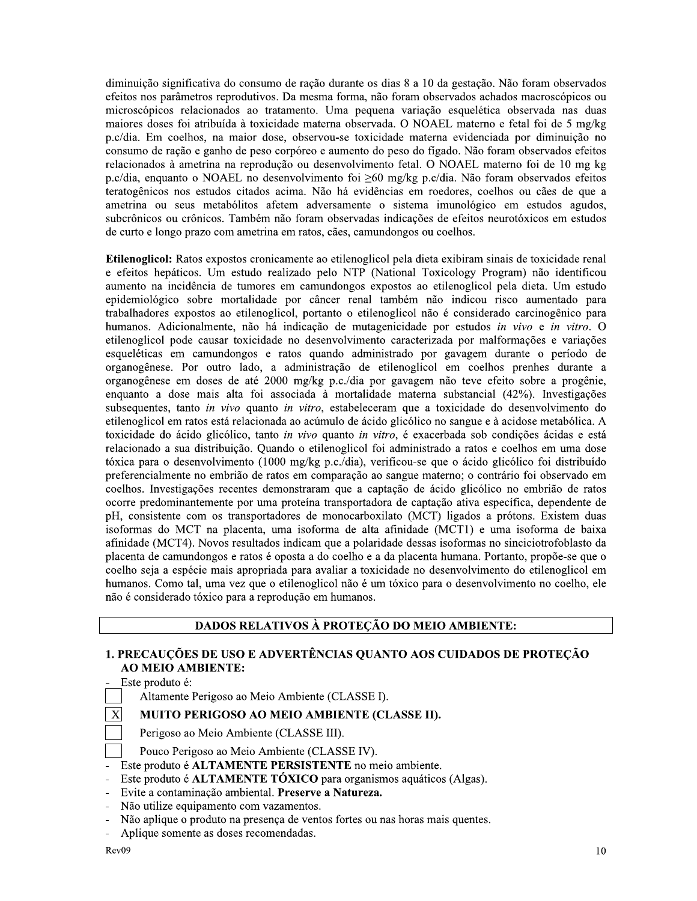diminuição significativa do consumo de ração durante os dias 8 a 10 da gestação. Não foram observados efeitos nos parâmetros reprodutivos. Da mesma forma, não foram observados achados macroscópicos ou microscópicos relacionados ao tratamento. Uma pequena variação esquelética observada nas duas maiores doses foi atribuída à toxicidade materna observada. O NOAEL materno e fetal foi de 5 mg/kg p.c/dia. Em coelhos, na maior dose, observou-se toxicidade materna evidenciada por diminuição no consumo de ração e ganho de peso corpóreo e aumento do peso do fígado. Não foram observados efeitos relacionados à ametrina na reprodução ou desenvolvimento fetal. O NOAEL materno foi de 10 mg kg p.c/dia, enquanto o NOAEL no desenvolvimento foi  $\geq 60$  mg/kg p.c/dia. Não foram observados efeitos teratogênicos nos estudos citados acima. Não há evidências em roedores, coelhos ou cães de que a ametrina ou seus metabólitos afetem adversamente o sistema imunológico em estudos agudos, subcrônicos ou crônicos. Também não foram observadas indicações de efeitos neurotóxicos em estudos de curto e longo prazo com ametrina em ratos, cães, camundongos ou coelhos.

Etilenoglicol: Ratos expostos cronicamente ao etilenoglicol pela dieta exibiram sinais de toxicidade renal e efeitos hepáticos. Um estudo realizado pelo NTP (National Toxicology Program) não identificou aumento na incidência de tumores em camundongos expostos ao etilenoglicol pela dieta. Um estudo epidemiológico sobre mortalidade por câncer renal também não indicou risco aumentado para trabalhadores expostos ao etilenoglicol, portanto o etilenoglicol não é considerado carcinogênico para humanos. Adicionalmente, não há indicação de mutagenicidade por estudos in vivo e in vitro. O etilenoglicol pode causar toxicidade no desenvolvimento caracterizada por malformações e variações esqueléticas em camundongos e ratos quando administrado por gavagem durante o período de organogênese. Por outro lado, a administração de etilenoglicol em coelhos prenhes durante a organogênese em doses de até 2000 mg/kg p.c./dia por gavagem não teve efeito sobre a progênie, enquanto a dose mais alta foi associada à mortalidade materna substancial (42%). Investigações subsequentes, tanto in vivo quanto in vitro, estabeleceram que a toxicidade do desenvolvimento do etilenoglicol em ratos está relacionada ao acúmulo de ácido glicólico no sangue e à acidose metabólica. A toxicidade do ácido glicólico, tanto in vivo quanto in vitro, é exacerbada sob condições ácidas e está relacionado a sua distribuição. Quando o etilenoglicol foi administrado a ratos e coelhos em uma dose tóxica para o desenvolvimento (1000 mg/kg p.c./dia), verificou-se que o ácido glicólico foi distribuído preferencialmente no embrião de ratos em comparação ao sangue materno; o contrário foi observado em coelhos. Investigações recentes demonstraram que a captação de ácido glicólico no embrião de ratos ocorre predominantemente por uma proteína transportadora de captação ativa específica, dependente de pH, consistente com os transportadores de monocarboxilato (MCT) ligados a prótons. Existem duas isoformas do MCT na placenta, uma isoforma de alta afinidade (MCT1) e uma isoforma de baixa afinidade (MCT4). Novos resultados indicam que a polaridade dessas isoformas no sinciciotrofoblasto da placenta de camundongos e ratos é oposta a do coelho e a da placenta humana. Portanto, propõe-se que o coelho seja a espécie mais apropriada para avaliar a toxicidade no desenvolvimento do etilenoglicol em humanos. Como tal, uma vez que o etilenoglicol não é um tóxico para o desenvolvimento no coelho, ele não é considerado tóxico para a reprodução em humanos.

# DADOS RELATIVOS À PROTEÇÃO DO MEIO AMBIENTE:

#### 1. PRECAUÇÕES DE USO E ADVERTÊNCIAS QUANTO AOS CUIDADOS DE PROTEÇÃO **AO MEIO AMBIENTE:**

Este produto é:

Altamente Perigoso ao Meio Ambiente (CLASSE I).

# MUITO PERIGOSO AO MEIO AMBIENTE (CLASSE II).

Perigoso ao Meio Ambiente (CLASSE III).

Pouco Perigoso ao Meio Ambiente (CLASSE IV).

- Este produto é ALTAMENTE PERSISTENTE no meio ambiente.
- Este produto é ALTAMENTE TÓXICO para organismos aquáticos (Algas).
- Evite a contaminação ambiental. Preserve a Natureza.
- Não utilize equipamento com vazamentos.
- Não aplique o produto na presença de ventos fortes ou nas horas mais quentes.
- Aplique somente as doses recomendadas.

 $\mathbf X$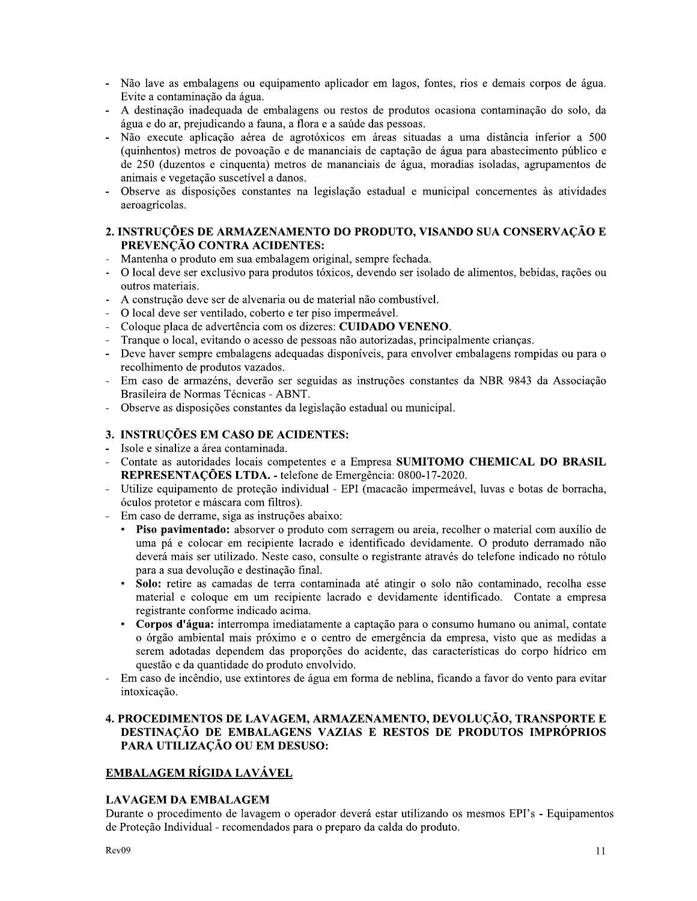- Não lave as embalagens ou equipamento aplicador em lagos, fontes, rios e demais corpos de água. Evite a contaminação da água.
- A destinação inadequada de embalagens ou restos de produtos ocasiona contaminação do solo, da água e do ar, prejudicando a fauna, a flora e a saúde das pessoas.
- Não execute aplicação aérea de agrotóxicos em áreas situadas a uma distância inferior a 500 (quinhentos) metros de povoação e de mananciais de captação de água para abastecimento público e de 250 (duzentos e cinquenta) metros de mananciais de água, moradias isoladas, agrupamentos de animais e vegetação suscetível a danos.
- Observe as disposições constantes na legislação estadual e municipal concernentes às atividades aeroagrícolas.

#### 2. INSTRUÇÕES DE ARMAZENAMENTO DO PRODUTO, VISANDO SUA CONSERVAÇÃO E PREVENÇÃO CONTRA ACIDENTES:

- Mantenha o produto em sua embalagem original, sempre fechada.
- O local deve ser exclusivo para produtos tóxicos, devendo ser isolado de alimentos, bebidas, rações ou  $\Box$ outros materiais.
- A construção deve ser de alvenaria ou de material não combustível.
- O local deve ser ventilado, coberto e ter piso impermeável.
- Coloque placa de advertência com os dizeres: CUIDADO VENENO.
- Tranque o local, evitando o acesso de pessoas não autorizadas, principalmente criancas.
- Deve haver sempre embalagens adequadas disponíveis, para envolver embalagens rompidas ou para o recolhimento de produtos vazados.
- Em caso de armazéns, deverão ser seguidas as instruções constantes da NBR 9843 da Associação Brasileira de Normas Técnicas - ABNT.
- Observe as disposições constantes da legislação estadual ou municipal.

# 3. INSTRUÇÕES EM CASO DE ACIDENTES:

- Isole e sinalize a área contaminada.
- Contate as autoridades locais competentes e a Empresa SUMITOMO CHEMICAL DO BRASIL REPRESENTAÇÕES LTDA. - telefone de Emergência: 0800-17-2020.
- Utilize equipamento de proteção individual EPI (macacão impermeável, luvas e botas de borracha, óculos protetor e máscara com filtros).
- Em caso de derrame, siga as instruções abaixo:
	- Piso pavimentado: absorver o produto com serragem ou areia, recolher o material com auxílio de uma pá e colocar em recipiente lacrado e identificado devidamente. O produto derramado não deverá mais ser utilizado. Neste caso, consulte o registrante através do telefone indicado no rótulo para a sua devolução e destinação final.
	- $\bullet$ Solo: retire as camadas de terra contaminada até atingir o solo não contaminado, recolha esse material e coloque em um recipiente lacrado e devidamente identificado. Contate a empresa registrante conforme indicado acima.
	- $\bullet$ Corpos d'água: interrompa imediatamente a captação para o consumo humano ou animal, contate o órgão ambiental mais próximo e o centro de emergência da empresa, visto que as medidas a serem adotadas dependem das proporções do acidente, das características do corpo hídrico em questão e da quantidade do produto envolvido.
- Em caso de incêndio, use extintores de água em forma de neblina, ficando a favor do vento para evitar intoxicação.

#### 4. PROCEDIMENTOS DE LAVAGEM, ARMAZENAMENTO, DEVOLUÇÃO, TRANSPORTE E DESTINAÇÃO DE EMBALAGENS VAZIAS E RESTOS DE PRODUTOS IMPRÓPRIOS PARA UTILIZAÇÃO OU EM DESUSO:

# EMBALAGEM RÍGIDA LAVÁVEL

#### **LAVAGEM DA EMBALAGEM**

Durante o procedimento de lavagem o operador deverá estar utilizando os mesmos EPI's - Equipamentos de Proteção Individual - recomendados para o preparo da calda do produto.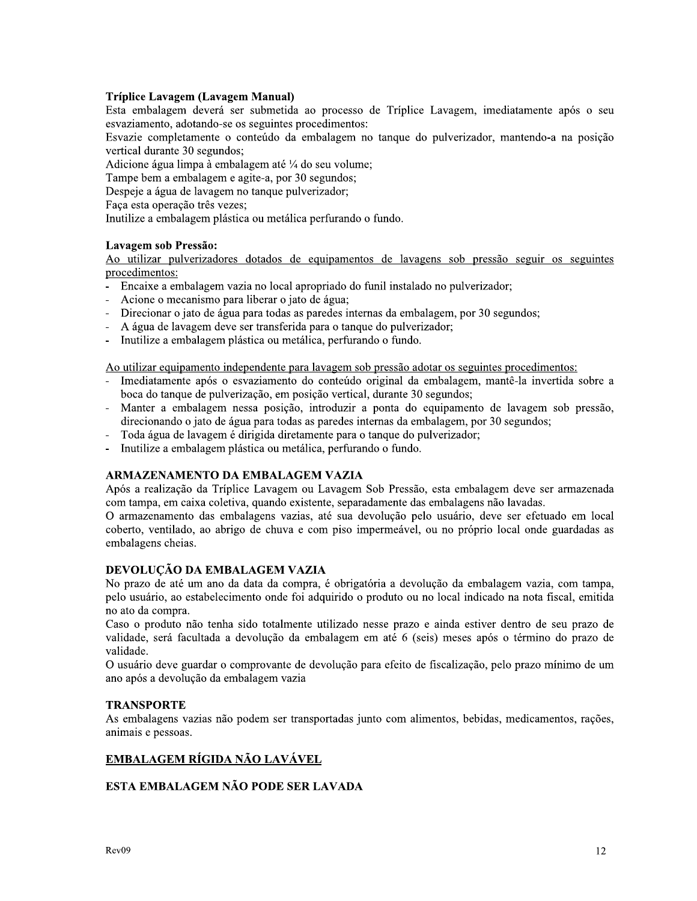#### Tríplice Lavagem (Lavagem Manual)

Esta embalagem deverá ser submetida ao processo de Tríplice Lavagem, imediatamente após o seu esvaziamento, adotando-se os seguintes procedimentos:

Esvazie completamente o conteúdo da embalagem no tanque do pulverizador, mantendo-a na posição vertical durante 30 segundos;

Adicione água limpa à embalagem até ¼ do seu volume;

Tampe bem a embalagem e agite-a, por 30 segundos;

Despeje a água de lavagem no tanque pulverizador;

Faça esta operação três vezes;

Inutilize a embalagem plástica ou metálica perfurando o fundo.

#### Lavagem sob Pressão:

Ao utilizar pulverizadores dotados de equipamentos de lavagens sob pressão seguir os seguintes procedimentos:

- Encaixe a embalagem vazia no local apropriado do funil instalado no pulverizador;
- Acione o mecanismo para liberar o jato de água;
- Direcionar o jato de água para todas as paredes internas da embalagem, por 30 segundos;
- A água de lavagem deve ser transferida para o tanque do pulverizador;
- $\overline{a}$ Inutilize a embalagem plástica ou metálica, perfurando o fundo.

Ao utilizar equipamento independente para lavagem sob pressão adotar os seguintes procedimentos:

- Imediatamente após o esvaziamento do conteúdo original da embalagem, mantê-la invertida sobre a boca do tanque de pulverização, em posição vertical, durante 30 segundos;
- Manter a embalagem nessa posição, introduzir a ponta do equipamento de lavagem sob pressão, direcionando o jato de água para todas as paredes internas da embalagem, por 30 segundos;
- Toda água de lavagem é dirigida diretamente para o tanque do pulverizador;  $\mathbb{L}$
- $\overline{a}$ Inutilize a embalagem plástica ou metálica, perfurando o fundo.

#### ARMAZENAMENTO DA EMBALAGEM VAZIA

Após a realização da Tríplice Lavagem ou Lavagem Sob Pressão, esta embalagem deve ser armazenada com tampa, em caixa coletiva, quando existente, separadamente das embalagens não lavadas.

O armazenamento das embalagens vazias, até sua devolução pelo usuário, deve ser efetuado em local coberto, ventilado, ao abrigo de chuva e com piso impermeável, ou no próprio local onde guardadas as embalagens cheias.

# DEVOLUÇÃO DA EMBALAGEM VAZIA

No prazo de até um ano da data da compra, é obrigatória a devolução da embalagem vazia, com tampa, pelo usuário, ao estabelecimento onde foi adquirido o produto ou no local indicado na nota fiscal, emitida no ato da compra.

Caso o produto não tenha sido totalmente utilizado nesse prazo e ainda estiver dentro de seu prazo de validade, será facultada a devolução da embalagem em até 6 (seis) meses após o término do prazo de validade.

O usuário deve guardar o comprovante de devolução para efeito de fiscalização, pelo prazo mínimo de um ano após a devolução da embalagem vazia

#### **TRANSPORTE**

As embalagens vazias não podem ser transportadas junto com alimentos, bebidas, medicamentos, rações, animais e pessoas.

# EMBALAGEM RÍGIDA NÃO LAVÁVEL

#### ESTA EMBALAGEM NÃO PODE SER LAVADA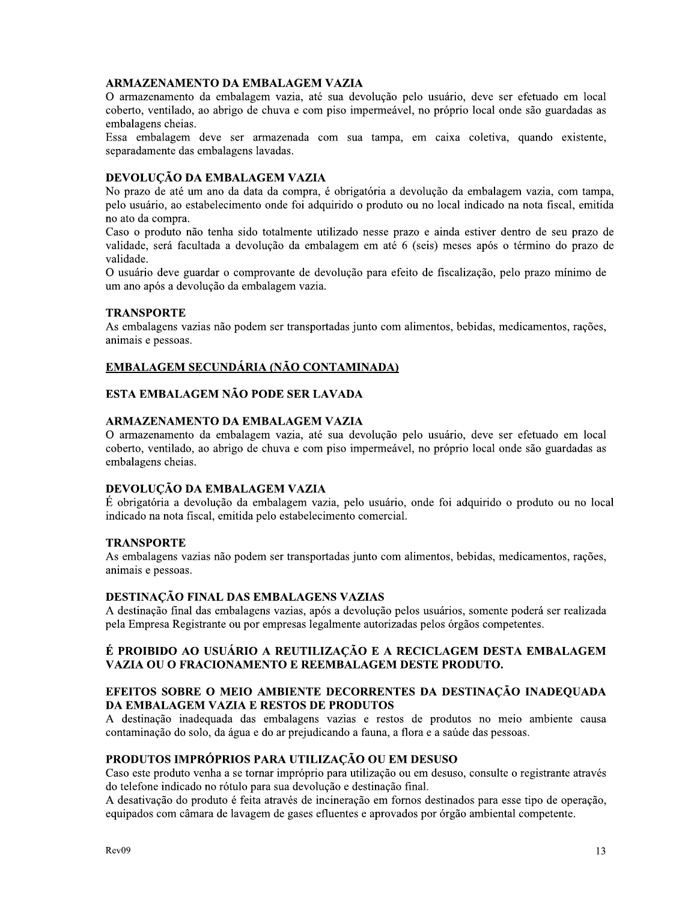#### **ARMAZENAMENTO DA EMBALAGEM VAZIA**

O armazenamento da embalagem vazia, até sua devolução pelo usuário, deve ser efetuado em local coberto, ventilado, ao abrigo de chuva e com piso impermeável, no próprio local onde são guardadas as embalagens cheias.

Essa embalagem deve ser armazenada com sua tampa, em caixa coletiva, quando existente, separadamente das embalagens lavadas.

#### DEVOLUCÃO DA EMBALAGEM VAZIA

No prazo de até um ano da data da compra, é obrigatória a devolução da embalagem vazia, com tampa, pelo usuário, ao estabelecimento onde foi adquirido o produto ou no local indicado na nota fiscal, emitida no ato da compra.

Caso o produto não tenha sido totalmente utilizado nesse prazo e ainda estiver dentro de seu prazo de validade, será facultada a devolução da embalagem em até 6 (seis) meses após o término do prazo de validade.

O usuário deve guardar o comprovante de devolução para efeito de fiscalização, pelo prazo mínimo de um ano após a devolução da embalagem vazia.

#### **TRANSPORTE**

As embalagens vazias não podem ser transportadas junto com alimentos, bebidas, medicamentos, rações, animais e pessoas.

#### EMBALAGEM SECUNDÁRIA (NÃO CONTAMINADA)

# ESTA EMBALAGEM NÃO PODE SER LAVADA

#### ARMAZENAMENTO DA EMBALAGEM VAZIA

O armazenamento da embalagem vazia, até sua devolução pelo usuário, deve ser efetuado em local coberto, ventilado, ao abrigo de chuva e com piso impermeável, no próprio local onde são guardadas as embalagens cheias.

#### DEVOLUÇÃO DA EMBALAGEM VAZIA

É obrigatória a devolução da embalagem vazia, pelo usuário, onde foi adquirido o produto ou no local indicado na nota fiscal, emitida pelo estabelecimento comercial.

#### **TRANSPORTE**

As embalagens vazias não podem ser transportadas junto com alimentos, bebidas, medicamentos, rações, animais e pessoas.

# DESTINAÇÃO FINAL DAS EMBALAGENS VAZIAS

A destinação final das embalagens vazias, após a devolução pelos usuários, somente poderá ser realizada pela Empresa Registrante ou por empresas legalmente autorizadas pelos órgãos competentes.

#### É PROIBIDO AO USUÁRIO A REUTILIZAÇÃO E A RECICLAGEM DESTA EMBALAGEM VAZIA OU O FRACIONAMENTO E REEMBALAGEM DESTE PRODUTO.

#### EFEITOS SOBRE O MEIO AMBIENTE DECORRENTES DA DESTINAÇÃO INADEQUADA DA EMBALAGEM VAZIA E RESTOS DE PRODUTOS

A destinação inadequada das embalagens vazias e restos de produtos no meio ambiente causa contaminação do solo, da água e do ar prejudicando a fauna, a flora e a saúde das pessoas.

#### PRODUTOS IMPRÓPRIOS PARA UTILIZAÇÃO OU EM DESUSO

Caso este produto venha a se tornar impróprio para utilização ou em desuso, consulte o registrante através do telefone indicado no rótulo para sua devolução e destinação final.

A desativação do produto é feita através de incineração em fornos destinados para esse tipo de operação, equipados com câmara de lavagem de gases efluentes e aprovados por órgão ambiental competente.